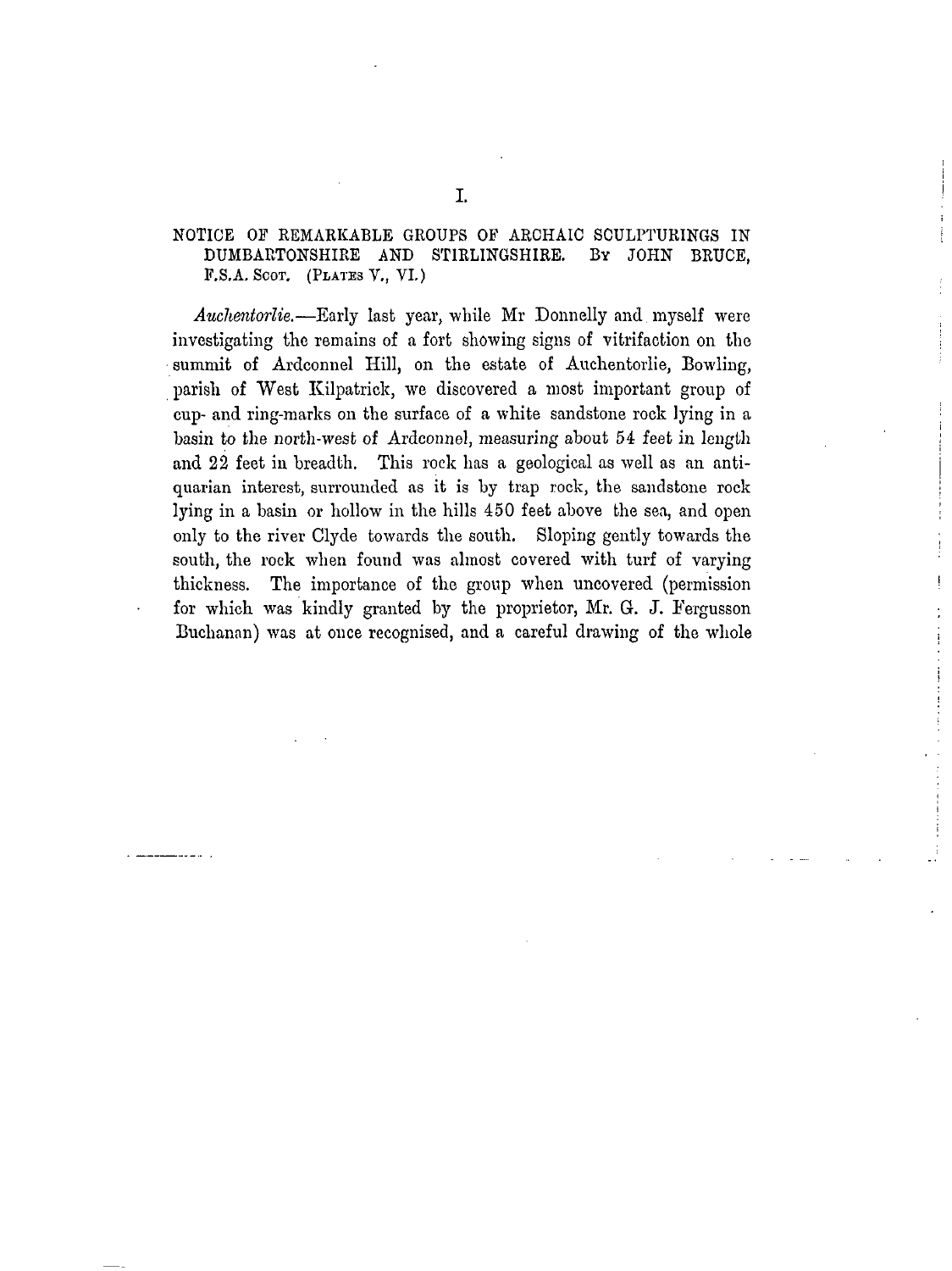## NOTICE OF REMARKABLE GROUPS OF ARCHAIC SCULPTURINGS IN DUMBARTONSHIRE AND STIRLINGSHIRE. BY JOHN BRUCE, **F. S.A.SCOT. (PLATES V., VI.)**

*Auchentorlie.—*Early last year, while Mr Donnelly and myself were investigating the remains of a fort showing signs of vitrifaction on the summit of Ardconnel Hill, on the estate of Auchentorlie, Bowling, parish of West Kilpatrick, we discovered a most important group of cup- and ring-marks on the surface of a white sandstone rock lying in a basin to the north-west of Ardconnel, measuring about 54 feet in length and 22 feet in breadth. This rock has a geological as well as an antiquarian interest, surrounded as it is by trap rock, the sandstone rock lying in a basin or hollow in the hills 450 feet above the sea, and open only to the river Clyde towards the south. Sloping gently towards the south, the rock when found was almost covered with turf of varying thickness. The importance of the group when uncovered (permission for which was kindly granted by the proprietor, Mr. G. J. Fergusson Buchanan) was at once recognised, and a careful drawing of the whole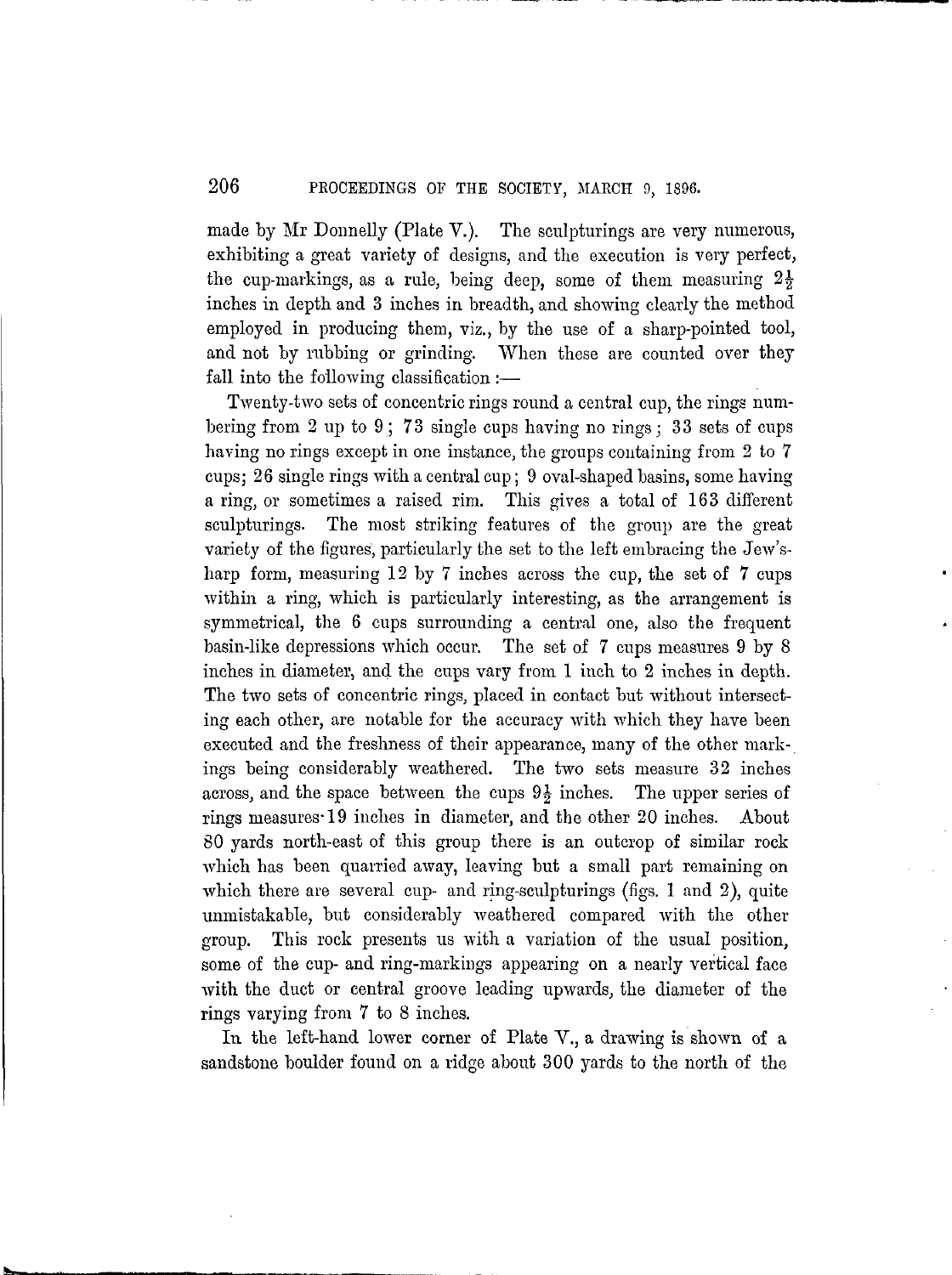made by Mr Donnelly (Plate V.). The sculpturings are very numerous, exhibiting a great variety of designs, and the execution is very perfect, the cup-markings, as a rule, being deep, some of them measuring  $2\frac{1}{2}$ inches in depth and 3 inches in breadth, and showing clearly the method employed in producing them, viz., by the use of a sharp-pointed tool, and not by rubbing or grinding. When these are counted over they fall into the following classification :-

Twenty-two sets of concentric rings round a central cup, the rings numbering from 2 up to 9; 73 single cups having no rings; 33 sets of cups having no rings except in one instance, the groups containing from 2 to 7 cups; 26 single rings with a central cup; 9 oval-shaped basins, some having a ring, or sometimes a raised rim. This gives a total of 163 different sculpturings. The most striking features of the group are the great variety of the figures, particularly the set to the left embracing the Jew'sharp form, measuring 12 by 7 inches across the cup, the set of 7 cups within a ring, which is particularly interesting, as the arrangement is symmetrical, the 6 cups surrounding a central one, also the frequent basin-like depressions which occur. The set of 7 cups measures 9 by 8 inches in diameter, and the cups vary from 1 inch to 2 inches in depth. The two sets of concentric rings, placed in contact but without intersecting each other, are notable for the accuracy with which they have been executed and the freshness of their appearance, many of the other markings being considerably weathered. The two sets measure 32 inches across, and the space between the cups  $9\frac{1}{2}$  inches. The upper series of rings measures-19 inches in diameter, and the other 20 inches. About 80 yards north-east of this group there is an outcrop of similar rock which has been quarried away, leaving but a small part remaining on which there are several cup- and ring-sculpturings (figs. 1 and 2), quite unmistakable, but considerably weathered compared with the other group. This rock presents us with a variation of the usual position, some of the cup- and ring-markings appearing on a nearly vertical face with the duct or central groove leading upwards, the diameter of the rings varying from 7 to 8 inches.

In the left-hand lower corner of Plate V., a drawing is shown of a sandstone boulder found on a ridge about 300 yards to the north of the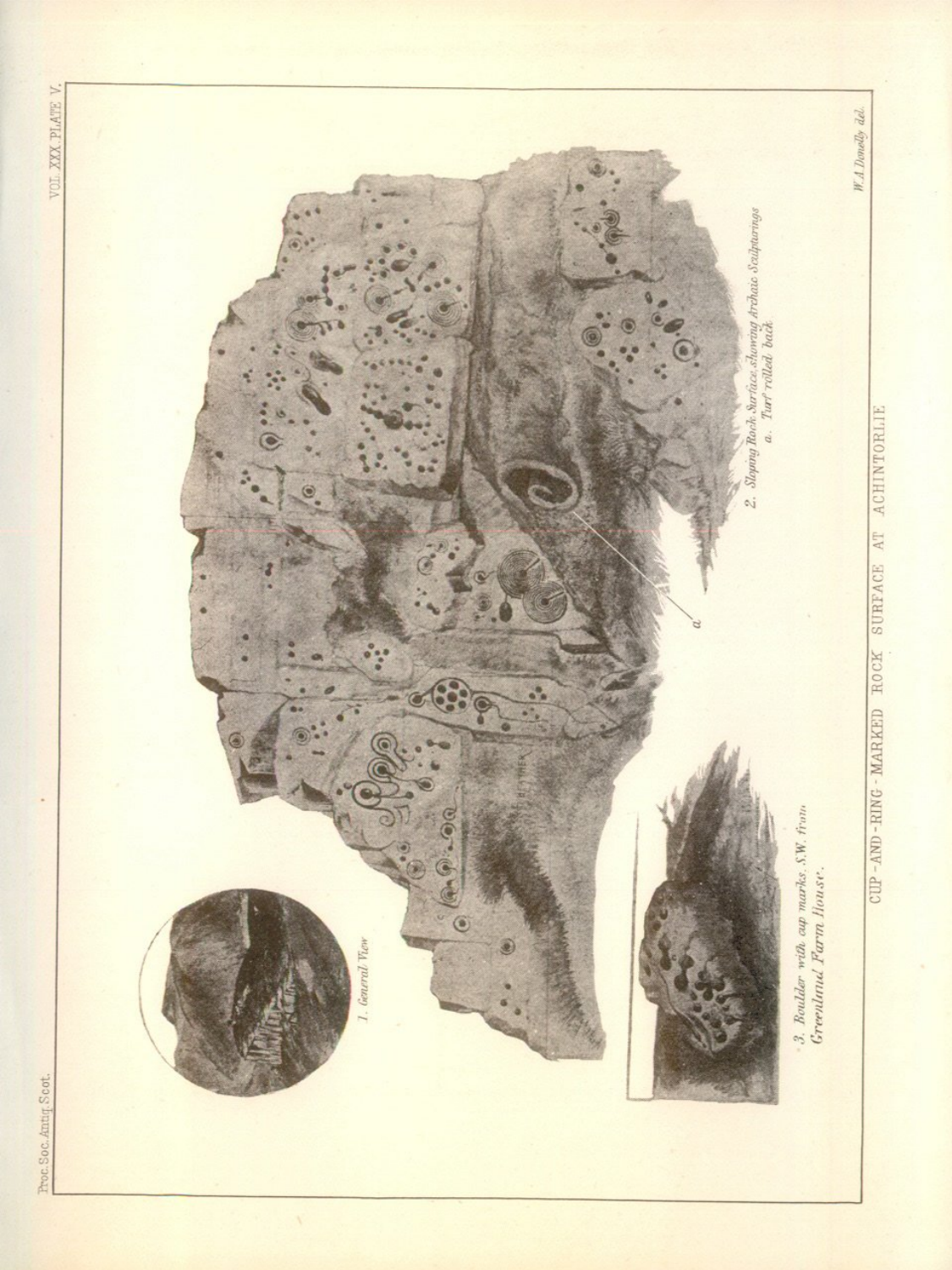

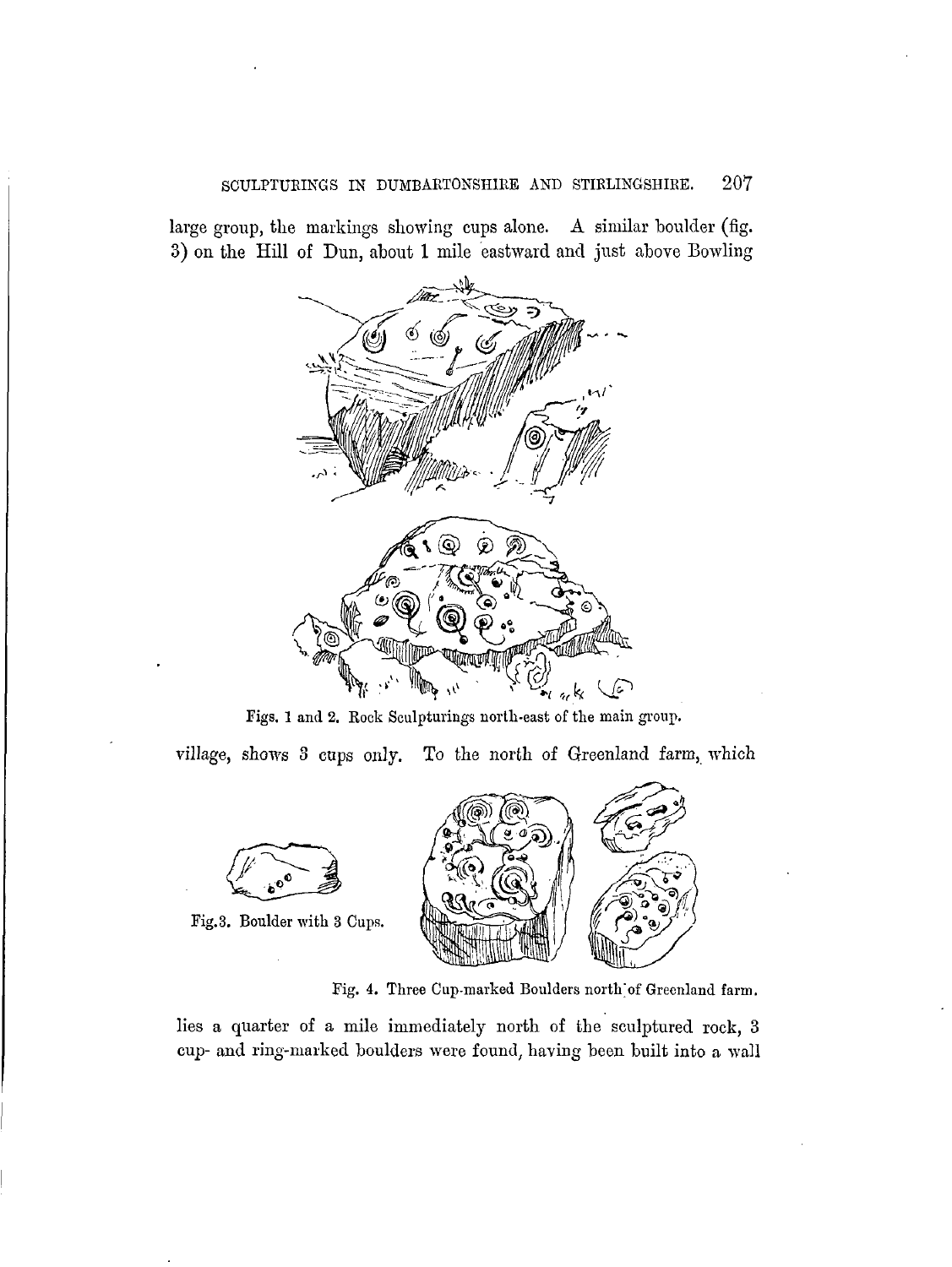large group, the markings showing cups alone. A similar boulder (fig. 3) on the Hill of Dun, about 1 mile eastward and just above Bowling



Figs. 1 and 2. Book Sculpturings north-east of the main group,

village, shows 3 cups only. To the north of Greenland farm, which



Fig. 3. Boulder with 3 Cups.



Fig. 4. Three Cup-marked Boulders north'of Greenland farm.

lies a quarter of a mile immediately north of the sculptured rock, 3 cup- and ring-marked boulders were found, having been built into a wall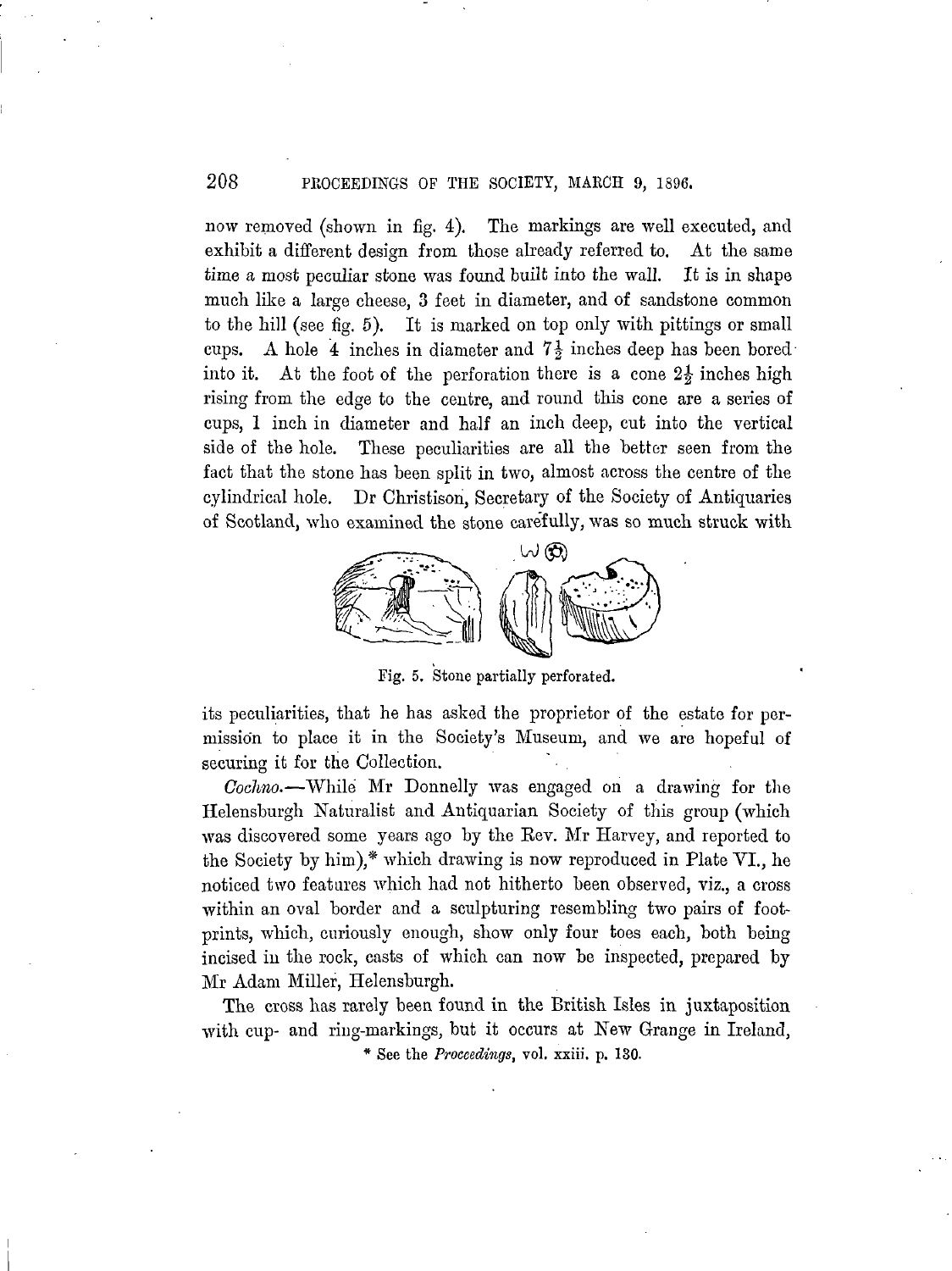## 208 PROCEEDINGS OF THE SOCIETY, MARCH 9, 1896.

now removed (shown in fig. 4). The markings are well executed, and exhibit a different design from those already referred to. At the same time a most peculiar stone was found built into the wall. It is in shape much like a large cheese, 3 feet in diameter, and of sandstone common to the hill (see fig. 5). It is marked on top only with pittings or small cups. A hole 4 inches in diameter and  $7\frac{1}{2}$  inches deep has been bored into it. At the foot of the perforation there is a cone  $2\frac{1}{2}$  inches high rising from the edge to the centre, and round this cone are a series of cups, 1 inch in diameter and half an inch deep, cut into the vertical side of the hole. These peculiarities are all the better seen from the fact that the stone has been split in two, almost across the centre of the cylindrical hole. Dr Christison, Secretary of the Society of Antiquaries of Scotland, who examined the stone carefully, was so much struck with



Fig. 5. Stone partially perforated.

its peculiarities, that he has asked the proprietor of the estate for permission to place it in the Society's Museum, and we are hopeful of securing it for the Collection.

*Cochno.—*While Mr Donnelly was engaged on a drawing for the Helensburgh Naturalist and Antiquarian Society of this group (which was discovered some years ago by the Eev. Mr Harvey, and reported to the Society by him),\* which drawing is now reproduced in Plate VI., he noticed two features which had not hitherto been observed, viz., a cross within an oval border and a sculpturing resembling two pairs of footprints, which, curiously enough, show only four toes each, both being incised in the rock, casts of which can now be inspected, prepared by Mr Adam Miller, Helensburgh.

The cross has rarely been found in the British Isles in juxtaposition with cup- and ring-markings, but it occurs at New Grange in Ireland, \* See the *Proceedings,* vol. xxiii. p. 130.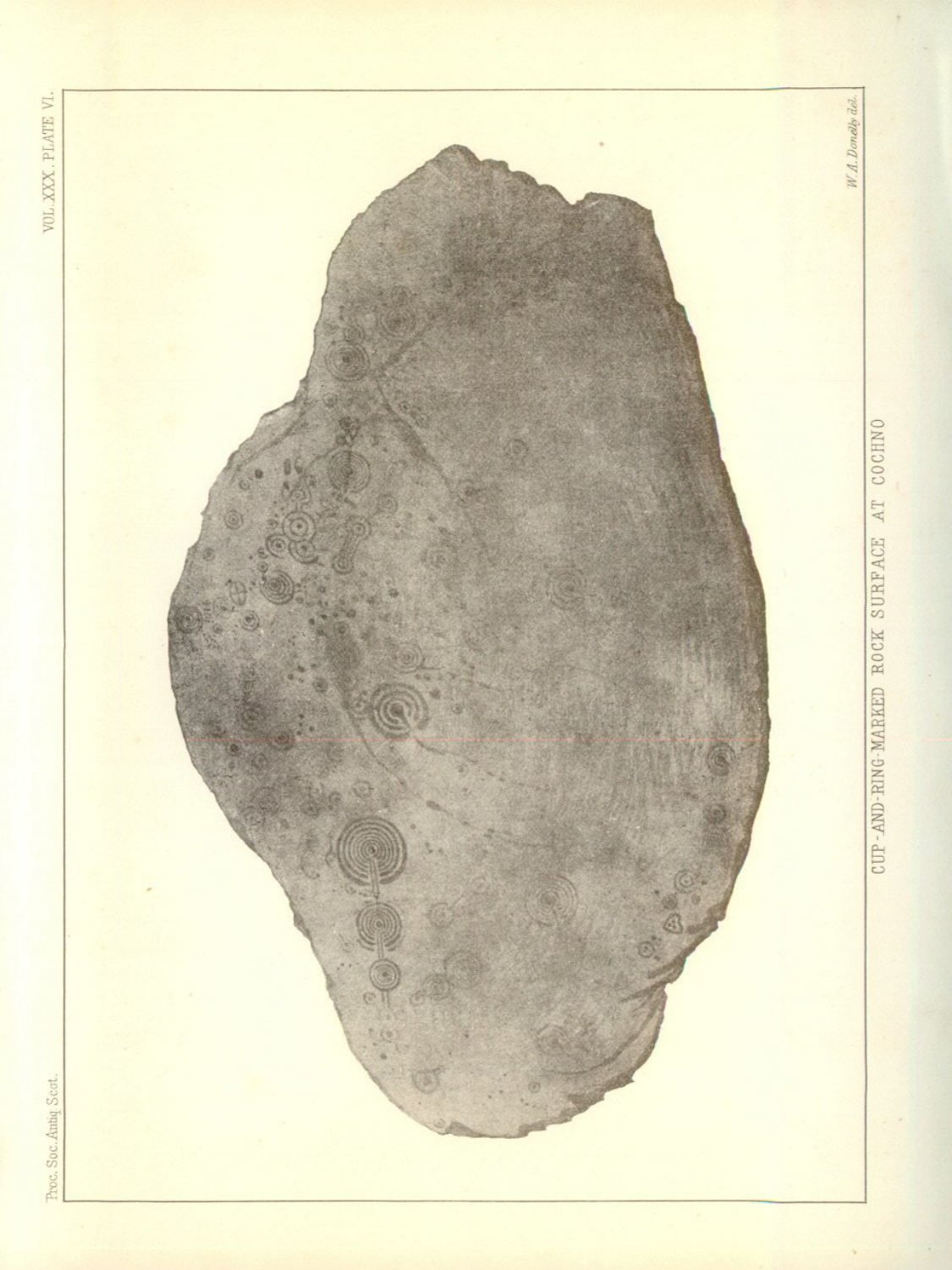